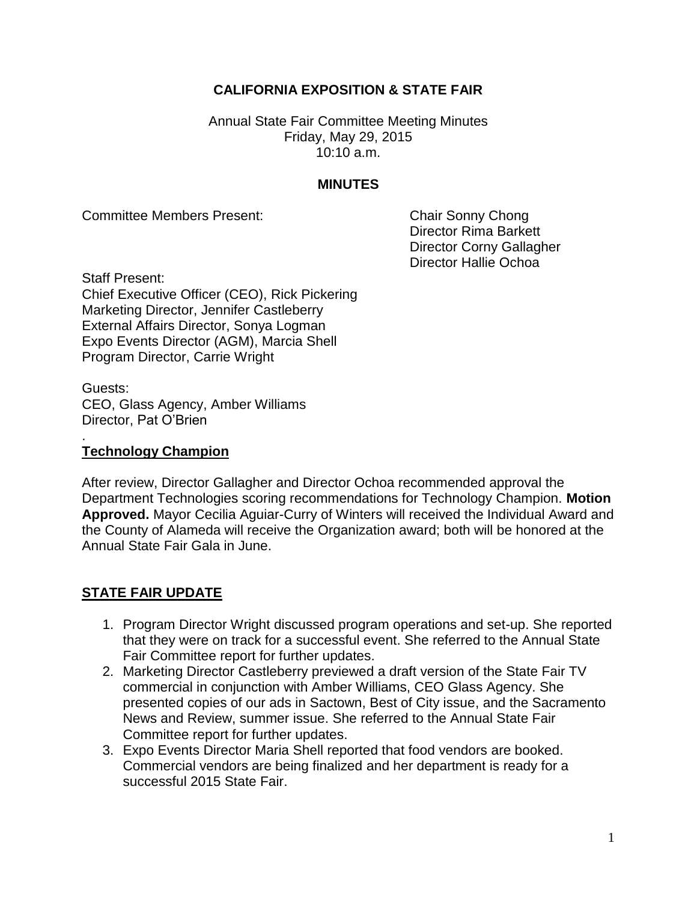# **CALIFORNIA EXPOSITION & STATE FAIR**

Annual State Fair Committee Meeting Minutes Friday, May 29, 2015 10:10 a.m.

#### **MINUTES**

Committee Members Present: Chair Sonny Chong

Director Rima Barkett Director Corny Gallagher Director Hallie Ochoa

Staff Present: Chief Executive Officer (CEO), Rick Pickering Marketing Director, Jennifer Castleberry External Affairs Director, Sonya Logman Expo Events Director (AGM), Marcia Shell Program Director, Carrie Wright

Guests: CEO, Glass Agency, Amber Williams Director, Pat O'Brien

#### **Technology Champion**

.

After review, Director Gallagher and Director Ochoa recommended approval the Department Technologies scoring recommendations for Technology Champion. **Motion Approved.** Mayor Cecilia Aguiar-Curry of Winters will received the Individual Award and the County of Alameda will receive the Organization award; both will be honored at the Annual State Fair Gala in June.

### **STATE FAIR UPDATE**

- 1. Program Director Wright discussed program operations and set-up. She reported that they were on track for a successful event. She referred to the Annual State Fair Committee report for further updates.
- 2. Marketing Director Castleberry previewed a draft version of the State Fair TV commercial in conjunction with Amber Williams, CEO Glass Agency. She presented copies of our ads in Sactown, Best of City issue, and the Sacramento News and Review, summer issue. She referred to the Annual State Fair Committee report for further updates.
- 3. Expo Events Director Maria Shell reported that food vendors are booked. Commercial vendors are being finalized and her department is ready for a successful 2015 State Fair.